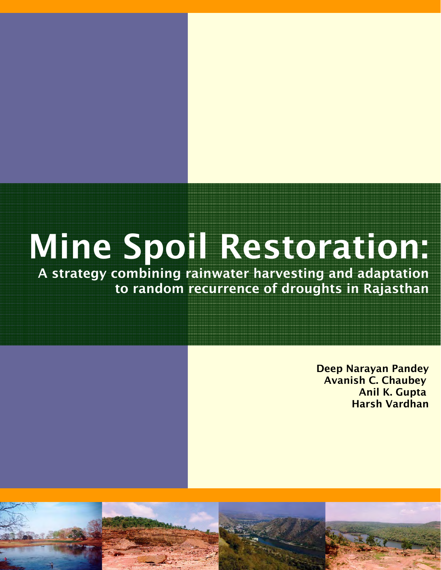# Mine Spoil Restoration:

A strategy combining rainwater harvesting and adaptation to random recurrence of droughts in Rajasthan

> Deep Narayan Pandey Avanish C. Chaubey Anil K. Gupta Harsh Vardhan

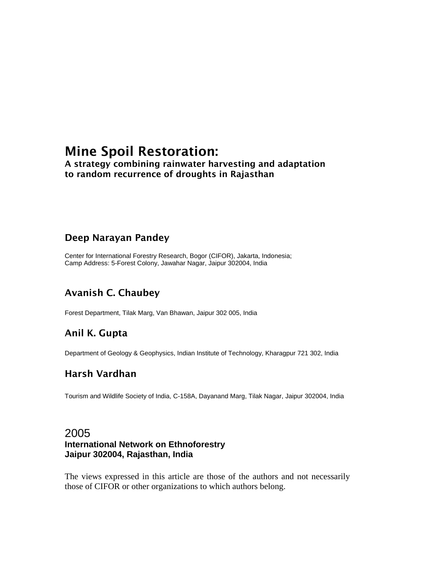# Mine Spoil Restoration:

A strategy combining rainwater harvesting and adaptation to random recurrence of droughts in Rajasthan

# Deep Narayan Pandey

Center for International Forestry Research, Bogor (CIFOR), Jakarta, Indonesia; Camp Address: 5-Forest Colony, Jawahar Nagar, Jaipur 302004, India

# Avanish C. Chaubey

Forest Department, Tilak Marg, Van Bhawan, Jaipur 302 005, India

# Anil K. Gupta

Department of Geology & Geophysics, Indian Institute of Technology, Kharagpur 721 302, India

# Harsh Vardhan

Tourism and Wildlife Society of India, C-158A, Dayanand Marg, Tilak Nagar, Jaipur 302004, India

## 2005 **International Network on Ethnoforestry Jaipur 302004, Rajasthan, India**

The views expressed in this article are those of the authors and not necessarily those of CIFOR or other organizations to which authors belong.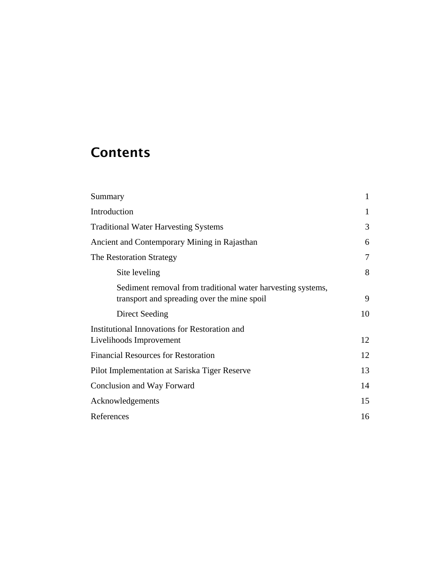# **Contents**

| Summary                                                                                                    | $\mathbf{1}$ |
|------------------------------------------------------------------------------------------------------------|--------------|
| Introduction                                                                                               | 1            |
| <b>Traditional Water Harvesting Systems</b>                                                                | 3            |
| Ancient and Contemporary Mining in Rajasthan                                                               | 6            |
| The Restoration Strategy                                                                                   | 7            |
| Site leveling                                                                                              | 8            |
| Sediment removal from traditional water harvesting systems,<br>transport and spreading over the mine spoil | 9            |
| <b>Direct Seeding</b>                                                                                      | 10           |
| <b>Institutional Innovations for Restoration and</b><br>Livelihoods Improvement                            | 12           |
| <b>Financial Resources for Restoration</b>                                                                 | 12           |
| Pilot Implementation at Sariska Tiger Reserve                                                              | 13           |
| Conclusion and Way Forward                                                                                 | 14           |
| Acknowledgements                                                                                           | 15           |
| References                                                                                                 | 16           |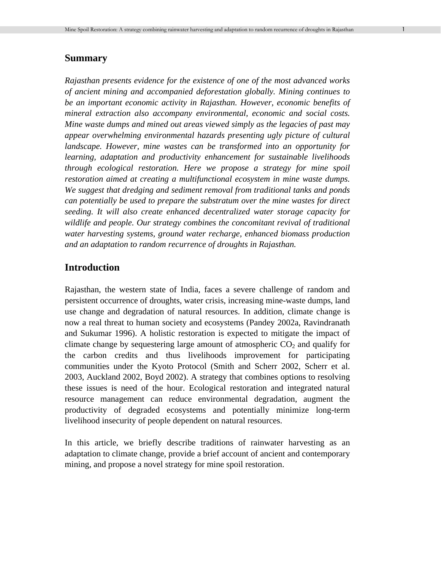#### **Summary**

*Rajasthan presents evidence for the existence of one of the most advanced works of ancient mining and accompanied deforestation globally. Mining continues to be an important economic activity in Rajasthan. However, economic benefits of mineral extraction also accompany environmental, economic and social costs. Mine waste dumps and mined out areas viewed simply as the legacies of past may appear overwhelming environmental hazards presenting ugly picture of cultural*  landscape. However, mine wastes can be transformed into an opportunity for *learning, adaptation and productivity enhancement for sustainable livelihoods through ecological restoration. Here we propose a strategy for mine spoil restoration aimed at creating a multifunctional ecosystem in mine waste dumps. We suggest that dredging and sediment removal from traditional tanks and ponds can potentially be used to prepare the substratum over the mine wastes for direct seeding. It will also create enhanced decentralized water storage capacity for wildlife and people. Our strategy combines the concomitant revival of traditional water harvesting systems, ground water recharge, enhanced biomass production and an adaptation to random recurrence of droughts in Rajasthan.* 

#### **Introduction**

Rajasthan, the western state of India, faces a severe challenge of random and persistent occurrence of droughts, water crisis, increasing mine-waste dumps, land use change and degradation of natural resources. In addition, climate change is now a real threat to human society and ecosystems (Pandey 2002a, Ravindranath and Sukumar 1996). A holistic restoration is expected to mitigate the impact of climate change by sequestering large amount of atmospheric  $CO<sub>2</sub>$  and qualify for the carbon credits and thus livelihoods improvement for participating communities under the Kyoto Protocol (Smith and Scherr 2002, Scherr et al. 2003, Auckland 2002, Boyd 2002). A strategy that combines options to resolving these issues is need of the hour. Ecological restoration and integrated natural resource management can reduce environmental degradation, augment the productivity of degraded ecosystems and potentially minimize long-term livelihood insecurity of people dependent on natural resources.

In this article, we briefly describe traditions of rainwater harvesting as an adaptation to climate change, provide a brief account of ancient and contemporary mining, and propose a novel strategy for mine spoil restoration.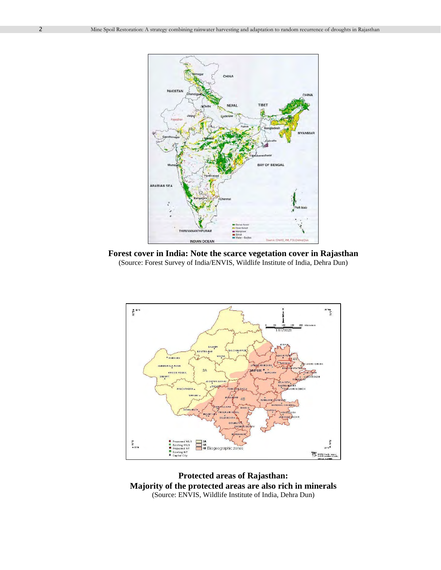

**Forest cover in India: Note the scarce vegetation cover in Rajasthan**  (Source: Forest Survey of India/ENVIS, Wildlife Institute of India, Dehra Dun)



**Protected areas of Rajasthan: Majority of the protected areas are also rich in minerals**  (Source: ENVIS, Wildlife Institute of India, Dehra Dun)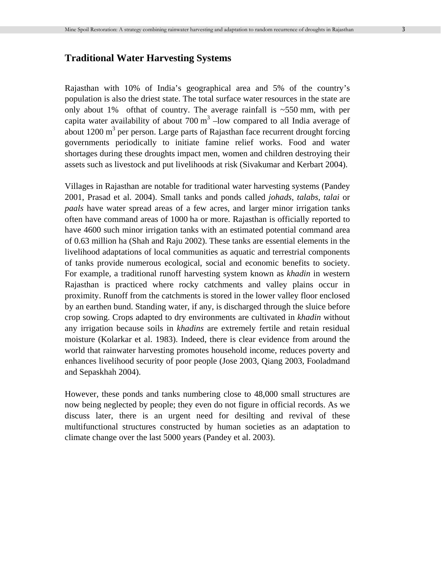#### **Traditional Water Harvesting Systems**

Rajasthan with 10% of India's geographical area and 5% of the country's population is also the driest state. The total surface water resources in the state are only about 1% of that of country. The average rainfall is  $\sim$  550 mm, with per capita water availability of about  $700 \text{ m}^3$  -low compared to all India average of about 1200 m<sup>3</sup> per person. Large parts of Rajasthan face recurrent drought forcing governments periodically to initiate famine relief works. Food and water shortages during these droughts impact men, women and children destroying their assets such as livestock and put livelihoods at risk (Sivakumar and Kerbart 2004).

Villages in Rajasthan are notable for traditional water harvesting systems (Pandey 2001, Prasad et al. 2004). Small tanks and ponds called *johads*, *talabs, talai* or *paals* have water spread areas of a few acres, and larger minor irrigation tanks often have command areas of 1000 ha or more. Rajasthan is officially reported to have 4600 such minor irrigation tanks with an estimated potential command area of 0.63 million ha (Shah and Raju 2002). These tanks are essential elements in the livelihood adaptations of local communities as aquatic and terrestrial components of tanks provide numerous ecological, social and economic benefits to society. For example, a traditional runoff harvesting system known as *khadin* in western Rajasthan is practiced where rocky catchments and valley plains occur in proximity. Runoff from the catchments is stored in the lower valley floor enclosed by an earthen bund. Standing water, if any, is discharged through the sluice before crop sowing. Crops adapted to dry environments are cultivated in *khadin* without any irrigation because soils in *khadins* are extremely fertile and retain residual moisture (Kolarkar et al. 1983). Indeed, there is clear evidence from around the world that rainwater harvesting promotes household income, reduces poverty and enhances livelihood security of poor people (Jose 2003, Qiang 2003, Fooladmand and Sepaskhah 2004).

However, these ponds and tanks numbering close to 48,000 small structures are now being neglected by people; they even do not figure in official records. As we discuss later, there is an urgent need for desilting and revival of these multifunctional structures constructed by human societies as an adaptation to climate change over the last 5000 years (Pandey et al. 2003).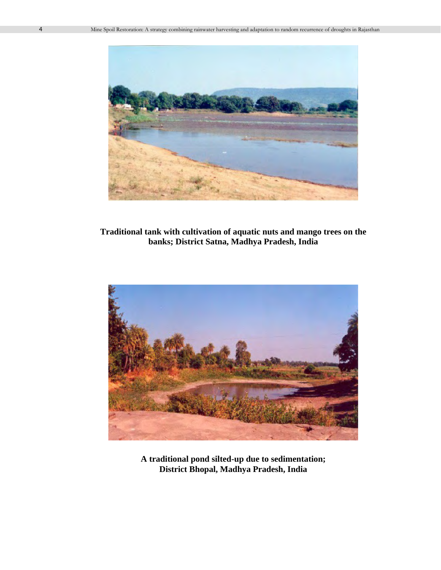

#### **Traditional tank with cultivation of aquatic nuts and mango trees on the banks; District Satna, Madhya Pradesh, India**



**A traditional pond silted-up due to sedimentation; District Bhopal, Madhya Pradesh, India**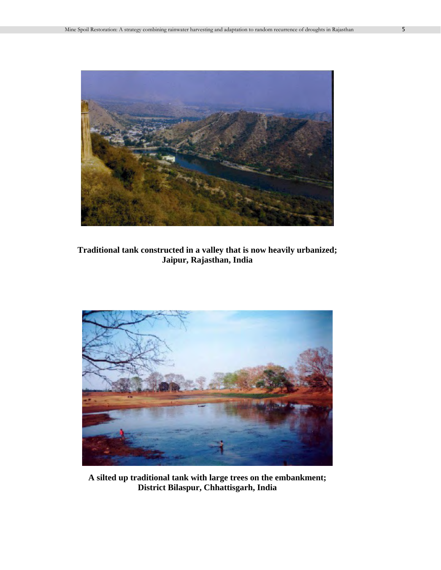

#### **Traditional tank constructed in a valley that is now heavily urbanized; Jaipur, Rajasthan, India**



**A silted up traditional tank with large trees on the embankment; District Bilaspur, Chhattisgarh, India**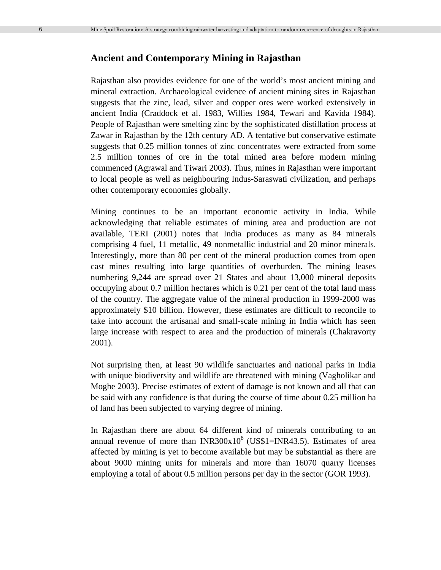#### **Ancient and Contemporary Mining in Rajasthan**

Rajasthan also provides evidence for one of the world's most ancient mining and mineral extraction. Archaeological evidence of ancient mining sites in Rajasthan suggests that the zinc, lead, silver and copper ores were worked extensively in ancient India (Craddock et al. 1983, Willies 1984, Tewari and Kavida 1984). People of Rajasthan were smelting zinc by the sophisticated distillation process at Zawar in Rajasthan by the 12th century AD. A tentative but conservative estimate suggests that 0.25 million tonnes of zinc concentrates were extracted from some 2.5 million tonnes of ore in the total mined area before modern mining commenced (Agrawal and Tiwari 2003). Thus, mines in Rajasthan were important to local people as well as neighbouring Indus-Saraswati civilization, and perhaps other contemporary economies globally.

Mining continues to be an important economic activity in India. While acknowledging that reliable estimates of mining area and production are not available, TERI (2001) notes that India produces as many as 84 minerals comprising 4 fuel, 11 metallic, 49 nonmetallic industrial and 20 minor minerals. Interestingly, more than 80 per cent of the mineral production comes from open cast mines resulting into large quantities of overburden. The mining leases numbering 9,244 are spread over 21 States and about 13,000 mineral deposits occupying about 0.7 million hectares which is 0.21 per cent of the total land mass of the country. The aggregate value of the mineral production in 1999-2000 was approximately \$10 billion. However, these estimates are difficult to reconcile to take into account the artisanal and small-scale mining in India which has seen large increase with respect to area and the production of minerals (Chakravorty 2001).

Not surprising then, at least 90 wildlife sanctuaries and national parks in India with unique biodiversity and wildlife are threatened with mining (Vagholikar and Moghe 2003). Precise estimates of extent of damage is not known and all that can be said with any confidence is that during the course of time about 0.25 million ha of land has been subjected to varying degree of mining.

In Rajasthan there are about 64 different kind of minerals contributing to an annual revenue of more than  $INR300x10^8$  (US\$1=INR43.5). Estimates of area affected by mining is yet to become available but may be substantial as there are about 9000 mining units for minerals and more than 16070 quarry licenses employing a total of about 0.5 million persons per day in the sector (GOR 1993).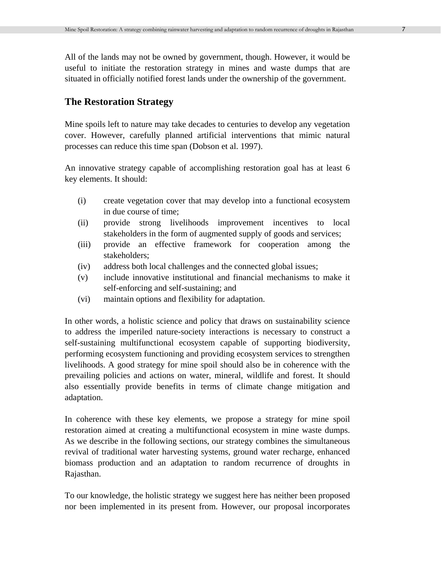All of the lands may not be owned by government, though. However, it would be useful to initiate the restoration strategy in mines and waste dumps that are situated in officially notified forest lands under the ownership of the government.

### **The Restoration Strategy**

Mine spoils left to nature may take decades to centuries to develop any vegetation cover. However, carefully planned artificial interventions that mimic natural processes can reduce this time span (Dobson et al. 1997).

An innovative strategy capable of accomplishing restoration goal has at least 6 key elements. It should:

- (i) create vegetation cover that may develop into a functional ecosystem in due course of time;
- (ii) provide strong livelihoods improvement incentives to local stakeholders in the form of augmented supply of goods and services;
- (iii) provide an effective framework for cooperation among the stakeholders;
- (iv) address both local challenges and the connected global issues;
- (v) include innovative institutional and financial mechanisms to make it self-enforcing and self-sustaining; and
- (vi) maintain options and flexibility for adaptation.

In other words, a holistic science and policy that draws on sustainability science to address the imperiled nature-society interactions is necessary to construct a self-sustaining multifunctional ecosystem capable of supporting biodiversity, performing ecosystem functioning and providing ecosystem services to strengthen livelihoods. A good strategy for mine spoil should also be in coherence with the prevailing policies and actions on water, mineral, wildlife and forest. It should also essentially provide benefits in terms of climate change mitigation and adaptation.

In coherence with these key elements, we propose a strategy for mine spoil restoration aimed at creating a multifunctional ecosystem in mine waste dumps. As we describe in the following sections, our strategy combines the simultaneous revival of traditional water harvesting systems, ground water recharge, enhanced biomass production and an adaptation to random recurrence of droughts in Rajasthan.

To our knowledge, the holistic strategy we suggest here has neither been proposed nor been implemented in its present from. However, our proposal incorporates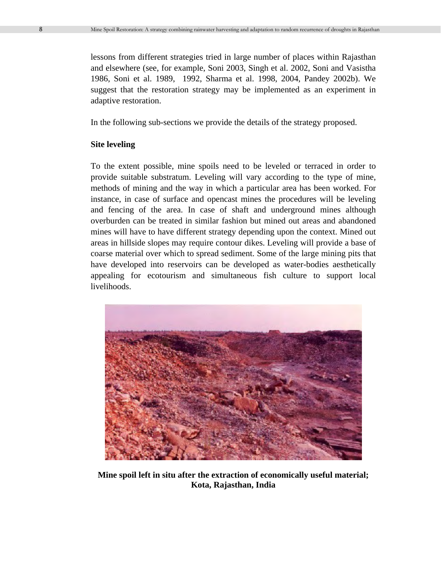lessons from different strategies tried in large number of places within Rajasthan and elsewhere (see, for example, Soni 2003, Singh et al. 2002, Soni and Vasistha 1986, Soni et al. 1989, 1992, Sharma et al. 1998, 2004, Pandey 2002b). We suggest that the restoration strategy may be implemented as an experiment in adaptive restoration.

In the following sub-sections we provide the details of the strategy proposed.

#### **Site leveling**

To the extent possible, mine spoils need to be leveled or terraced in order to provide suitable substratum. Leveling will vary according to the type of mine, methods of mining and the way in which a particular area has been worked. For instance, in case of surface and opencast mines the procedures will be leveling and fencing of the area. In case of shaft and underground mines although overburden can be treated in similar fashion but mined out areas and abandoned mines will have to have different strategy depending upon the context. Mined out areas in hillside slopes may require contour dikes. Leveling will provide a base of coarse material over which to spread sediment. Some of the large mining pits that have developed into reservoirs can be developed as water-bodies aesthetically appealing for ecotourism and simultaneous fish culture to support local livelihoods.



**Mine spoil left in situ after the extraction of economically useful material; Kota, Rajasthan, India**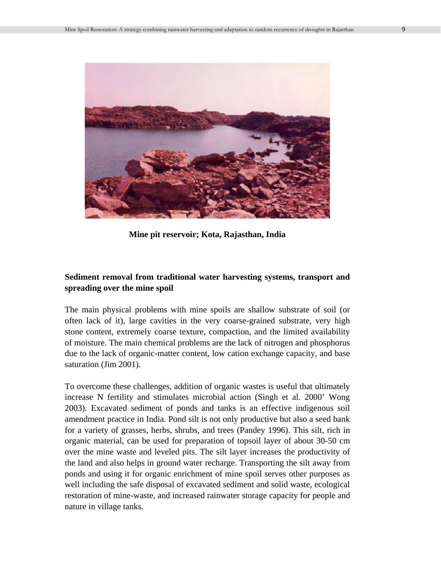

**Mine pit reservoir; Kota, Rajasthan, India**

#### **Sediment removal from traditional water harvesting systems, transport and spreading over the mine spoil**

The main physical problems with mine spoils are shallow substrate of soil (or often lack of it), large cavities in the very coarse-grained substrate, very high stone content, extremely coarse texture, compaction, and the limited availability of moisture. The main chemical problems are the lack of nitrogen and phosphorus due to the lack of organic-matter content, low cation exchange capacity, and base saturation (Jim 2001).

To overcome these challenges, addition of organic wastes is useful that ultimately increase N fertility and stimulates microbial action (Singh et al. 2000' Wong 2003). Excavated sediment of ponds and tanks is an effective indigenous soil amendment practice in India. Pond silt is not only productive but also a seed bank for a variety of grasses, herbs, shrubs, and trees (Pandey 1996). This silt, rich in organic material, can be used for preparation of topsoil layer of about 30-50 cm over the mine waste and leveled pits. The silt layer increases the productivity of the land and also helps in ground water recharge. Transporting the silt away from ponds and using it for organic enrichment of mine spoil serves other purposes as well including the safe disposal of excavated sediment and solid waste, ecological restoration of mine-waste, and increased rainwater storage capacity for people and nature in village tanks.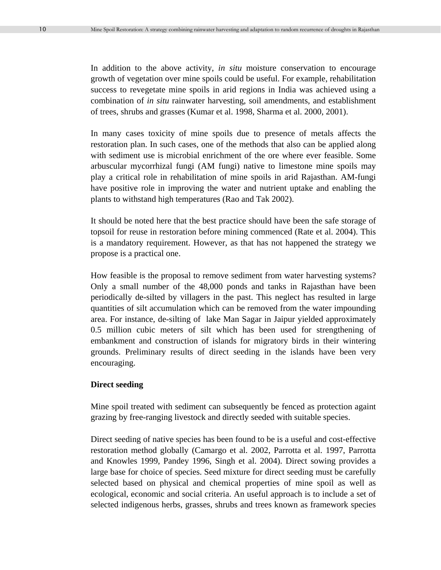In addition to the above activity, *in situ* moisture conservation to encourage growth of vegetation over mine spoils could be useful. For example, rehabilitation success to revegetate mine spoils in arid regions in India was achieved using a combination of *in situ* rainwater harvesting, soil amendments, and establishment of trees, shrubs and grasses (Kumar et al. 1998, Sharma et al. 2000, 2001).

In many cases toxicity of mine spoils due to presence of metals affects the restoration plan. In such cases, one of the methods that also can be applied along with sediment use is microbial enrichment of the ore where ever feasible. Some arbuscular mycorrhizal fungi (AM fungi) native to limestone mine spoils may play a critical role in rehabilitation of mine spoils in arid Rajasthan. AM-fungi have positive role in improving the water and nutrient uptake and enabling the plants to withstand high temperatures (Rao and Tak 2002).

It should be noted here that the best practice should have been the safe storage of topsoil for reuse in restoration before mining commenced (Rate et al. 2004). This is a mandatory requirement. However, as that has not happened the strategy we propose is a practical one.

How feasible is the proposal to remove sediment from water harvesting systems? Only a small number of the 48,000 ponds and tanks in Rajasthan have been periodically de-silted by villagers in the past. This neglect has resulted in large quantities of silt accumulation which can be removed from the water impounding area. For instance, de-silting of lake Man Sagar in Jaipur yielded approximately 0.5 million cubic meters of silt which has been used for strengthening of embankment and construction of islands for migratory birds in their wintering grounds. Preliminary results of direct seeding in the islands have been very encouraging.

#### **Direct seeding**

Mine spoil treated with sediment can subsequently be fenced as protection againt grazing by free-ranging livestock and directly seeded with suitable species.

Direct seeding of native species has been found to be is a useful and cost-effective restoration method globally (Camargo et al. 2002, Parrotta et al. 1997, Parrotta and Knowles 1999, Pandey 1996, Singh et al. 2004). Direct sowing provides a large base for choice of species. Seed mixture for direct seeding must be carefully selected based on physical and chemical properties of mine spoil as well as ecological, economic and social criteria. An useful approach is to include a set of selected indigenous herbs, grasses, shrubs and trees known as framework species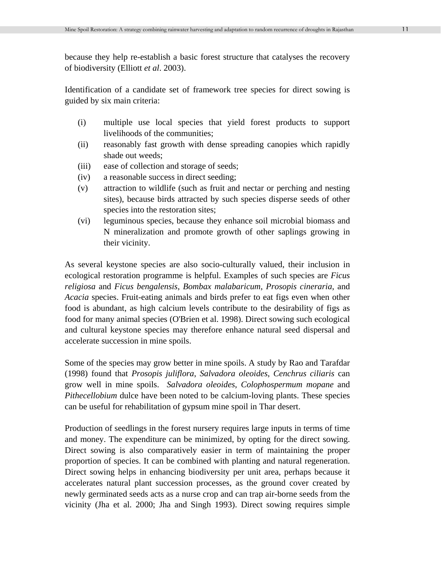because they help re-establish a basic forest structure that catalyses the recovery of biodiversity (Elliott *et al*. 2003).

Identification of a candidate set of framework tree species for direct sowing is guided by six main criteria:

- (i) multiple use local species that yield forest products to support livelihoods of the communities;
- (ii) reasonably fast growth with dense spreading canopies which rapidly shade out weeds;
- (iii) ease of collection and storage of seeds;
- (iv) a reasonable success in direct seeding;
- (v) attraction to wildlife (such as fruit and nectar or perching and nesting sites), because birds attracted by such species disperse seeds of other species into the restoration sites;
- (vi) leguminous species, because they enhance soil microbial biomass and N mineralization and promote growth of other saplings growing in their vicinity.

As several keystone species are also socio-culturally valued, their inclusion in ecological restoration programme is helpful. Examples of such species are *Ficus religiosa* and *Ficus bengalensis*, *Bombax malabaricum*, *Prosopis cineraria*, and *Acacia* species. Fruit-eating animals and birds prefer to eat figs even when other food is abundant, as high calcium levels contribute to the desirability of figs as food for many animal species (O'Brien et al. 1998). Direct sowing such ecological and cultural keystone species may therefore enhance natural seed dispersal and accelerate succession in mine spoils.

Some of the species may grow better in mine spoils. A study by Rao and Tarafdar (1998) found that *Prosopis juliflora*, *Salvadora oleoides*, *Cenchrus ciliaris* can grow well in mine spoils. *Salvadora oleoides*, *Colophospermum mopane* and *Pithecellobium* dulce have been noted to be calcium-loving plants. These species can be useful for rehabilitation of gypsum mine spoil in Thar desert.

Production of seedlings in the forest nursery requires large inputs in terms of time and money. The expenditure can be minimized, by opting for the direct sowing. Direct sowing is also comparatively easier in term of maintaining the proper proportion of species. It can be combined with planting and natural regeneration. Direct sowing helps in enhancing biodiversity per unit area, perhaps because it accelerates natural plant succession processes, as the ground cover created by newly germinated seeds acts as a nurse crop and can trap air-borne seeds from the vicinity (Jha et al. 2000; Jha and Singh 1993). Direct sowing requires simple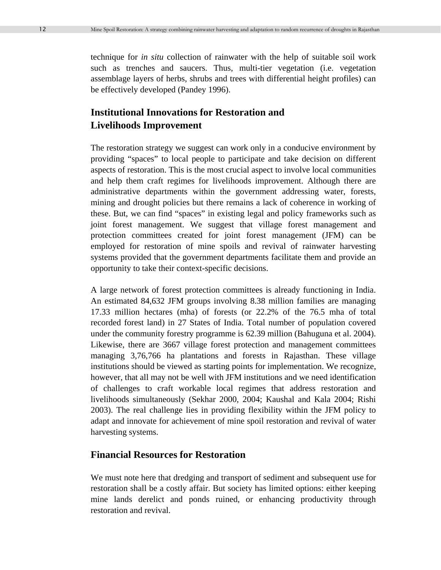technique for *in situ* collection of rainwater with the help of suitable soil work such as trenches and saucers. Thus, multi-tier vegetation (i.e. vegetation assemblage layers of herbs, shrubs and trees with differential height profiles) can be effectively developed (Pandey 1996).

## **Institutional Innovations for Restoration and Livelihoods Improvement**

The restoration strategy we suggest can work only in a conducive environment by providing "spaces" to local people to participate and take decision on different aspects of restoration. This is the most crucial aspect to involve local communities and help them craft regimes for livelihoods improvement. Although there are administrative departments within the government addressing water, forests, mining and drought policies but there remains a lack of coherence in working of these. But, we can find "spaces" in existing legal and policy frameworks such as joint forest management. We suggest that village forest management and protection committees created for joint forest management (JFM) can be employed for restoration of mine spoils and revival of rainwater harvesting systems provided that the government departments facilitate them and provide an opportunity to take their context-specific decisions.

A large network of forest protection committees is already functioning in India. An estimated 84,632 JFM groups involving 8.38 million families are managing 17.33 million hectares (mha) of forests (or 22.2% of the 76.5 mha of total recorded forest land) in 27 States of India. Total number of population covered under the community forestry programme is 62.39 million (Bahuguna et al. 2004). Likewise, there are 3667 village forest protection and management committees managing 3,76,766 ha plantations and forests in Rajasthan. These village institutions should be viewed as starting points for implementation. We recognize, however, that all may not be well with JFM institutions and we need identification of challenges to craft workable local regimes that address restoration and livelihoods simultaneously (Sekhar 2000, 2004; Kaushal and Kala 2004; Rishi 2003). The real challenge lies in providing flexibility within the JFM policy to adapt and innovate for achievement of mine spoil restoration and revival of water harvesting systems.

#### **Financial Resources for Restoration**

We must note here that dredging and transport of sediment and subsequent use for restoration shall be a costly affair. But society has limited options: either keeping mine lands derelict and ponds ruined, or enhancing productivity through restoration and revival.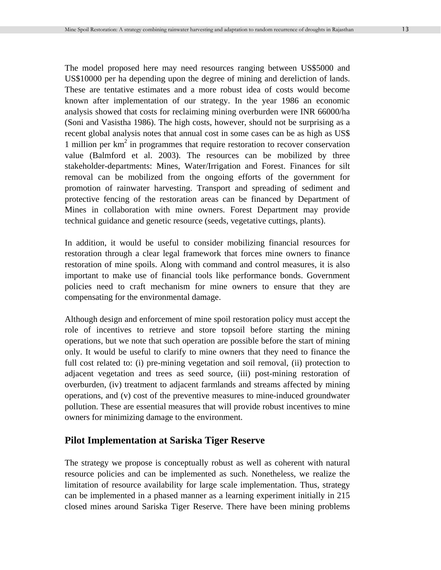The model proposed here may need resources ranging between US\$5000 and US\$10000 per ha depending upon the degree of mining and dereliction of lands. These are tentative estimates and a more robust idea of costs would become known after implementation of our strategy. In the year 1986 an economic analysis showed that costs for reclaiming mining overburden were INR 66000/ha (Soni and Vasistha 1986). The high costs, however, should not be surprising as a recent global analysis notes that annual cost in some cases can be as high as US\$ 1 million per  $km<sup>2</sup>$  in programmes that require restoration to recover conservation value (Balmford et al. 2003). The resources can be mobilized by three stakeholder-departments: Mines, Water/Irrigation and Forest. Finances for silt removal can be mobilized from the ongoing efforts of the government for promotion of rainwater harvesting. Transport and spreading of sediment and protective fencing of the restoration areas can be financed by Department of Mines in collaboration with mine owners. Forest Department may provide technical guidance and genetic resource (seeds, vegetative cuttings, plants).

In addition, it would be useful to consider mobilizing financial resources for restoration through a clear legal framework that forces mine owners to finance restoration of mine spoils. Along with command and control measures, it is also important to make use of financial tools like performance bonds. Government policies need to craft mechanism for mine owners to ensure that they are compensating for the environmental damage.

Although design and enforcement of mine spoil restoration policy must accept the role of incentives to retrieve and store topsoil before starting the mining operations, but we note that such operation are possible before the start of mining only. It would be useful to clarify to mine owners that they need to finance the full cost related to: (i) pre-mining vegetation and soil removal, (ii) protection to adjacent vegetation and trees as seed source, (iii) post-mining restoration of overburden, (iv) treatment to adjacent farmlands and streams affected by mining operations, and (v) cost of the preventive measures to mine-induced groundwater pollution. These are essential measures that will provide robust incentives to mine owners for minimizing damage to the environment.

# **Pilot Implementation at Sariska Tiger Reserve**

The strategy we propose is conceptually robust as well as coherent with natural resource policies and can be implemented as such. Nonetheless, we realize the limitation of resource availability for large scale implementation. Thus, strategy can be implemented in a phased manner as a learning experiment initially in 215 closed mines around Sariska Tiger Reserve. There have been mining problems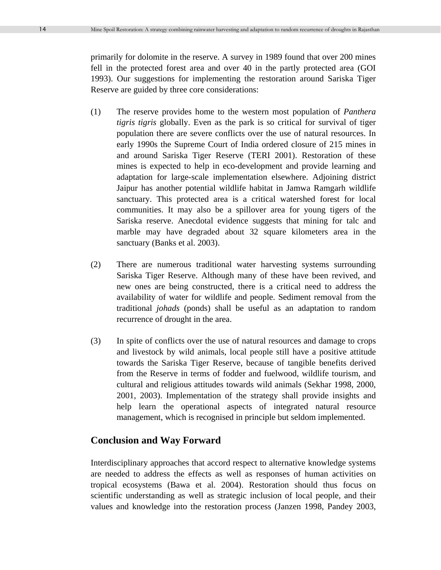primarily for dolomite in the reserve. A survey in 1989 found that over 200 mines fell in the protected forest area and over 40 in the partly protected area (GOI 1993). Our suggestions for implementing the restoration around Sariska Tiger Reserve are guided by three core considerations:

- (1) The reserve provides home to the western most population of *Panthera tigris tigris* globally. Even as the park is so critical for survival of tiger population there are severe conflicts over the use of natural resources. In early 1990s the Supreme Court of India ordered closure of 215 mines in and around Sariska Tiger Reserve (TERI 2001). Restoration of these mines is expected to help in eco-development and provide learning and adaptation for large-scale implementation elsewhere. Adjoining district Jaipur has another potential wildlife habitat in Jamwa Ramgarh wildlife sanctuary. This protected area is a critical watershed forest for local communities. It may also be a spillover area for young tigers of the Sariska reserve. Anecdotal evidence suggests that mining for talc and marble may have degraded about 32 square kilometers area in the sanctuary (Banks et al. 2003).
- (2) There are numerous traditional water harvesting systems surrounding Sariska Tiger Reserve. Although many of these have been revived, and new ones are being constructed, there is a critical need to address the availability of water for wildlife and people. Sediment removal from the traditional *johads* (ponds) shall be useful as an adaptation to random recurrence of drought in the area.
- (3) In spite of conflicts over the use of natural resources and damage to crops and livestock by wild animals, local people still have a positive attitude towards the Sariska Tiger Reserve, because of tangible benefits derived from the Reserve in terms of fodder and fuelwood, wildlife tourism, and cultural and religious attitudes towards wild animals (Sekhar 1998, 2000, 2001, 2003). Implementation of the strategy shall provide insights and help learn the operational aspects of integrated natural resource management, which is recognised in principle but seldom implemented.

#### **Conclusion and Way Forward**

Interdisciplinary approaches that accord respect to alternative knowledge systems are needed to address the effects as well as responses of human activities on tropical ecosystems (Bawa et al. 2004). Restoration should thus focus on scientific understanding as well as strategic inclusion of local people, and their values and knowledge into the restoration process (Janzen 1998, Pandey 2003,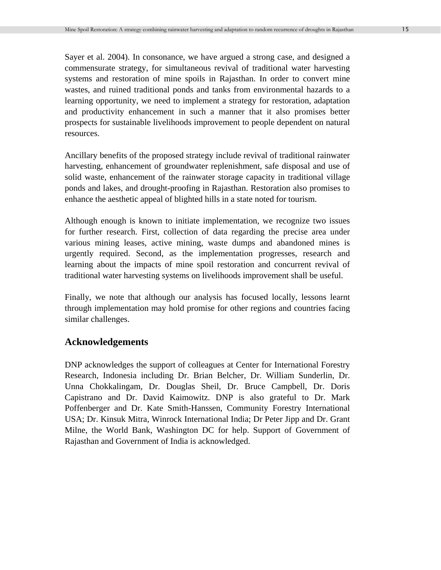Sayer et al. 2004). In consonance, we have argued a strong case, and designed a commensurate strategy, for simultaneous revival of traditional water harvesting systems and restoration of mine spoils in Rajasthan. In order to convert mine wastes, and ruined traditional ponds and tanks from environmental hazards to a learning opportunity, we need to implement a strategy for restoration, adaptation and productivity enhancement in such a manner that it also promises better prospects for sustainable livelihoods improvement to people dependent on natural resources.

Ancillary benefits of the proposed strategy include revival of traditional rainwater harvesting, enhancement of groundwater replenishment, safe disposal and use of solid waste, enhancement of the rainwater storage capacity in traditional village ponds and lakes, and drought-proofing in Rajasthan. Restoration also promises to enhance the aesthetic appeal of blighted hills in a state noted for tourism.

Although enough is known to initiate implementation, we recognize two issues for further research. First, collection of data regarding the precise area under various mining leases, active mining, waste dumps and abandoned mines is urgently required. Second, as the implementation progresses, research and learning about the impacts of mine spoil restoration and concurrent revival of traditional water harvesting systems on livelihoods improvement shall be useful.

Finally, we note that although our analysis has focused locally, lessons learnt through implementation may hold promise for other regions and countries facing similar challenges.

#### **Acknowledgements**

DNP acknowledges the support of colleagues at Center for International Forestry Research, Indonesia including Dr. Brian Belcher, Dr. William Sunderlin, Dr. Unna Chokkalingam, Dr. Douglas Sheil, Dr. Bruce Campbell, Dr. Doris Capistrano and Dr. David Kaimowitz. DNP is also grateful to Dr. Mark Poffenberger and Dr. Kate Smith-Hanssen, Community Forestry International USA; Dr. Kinsuk Mitra, Winrock International India; Dr Peter Jipp and Dr. Grant Milne, the World Bank, Washington DC for help. Support of Government of Rajasthan and Government of India is acknowledged.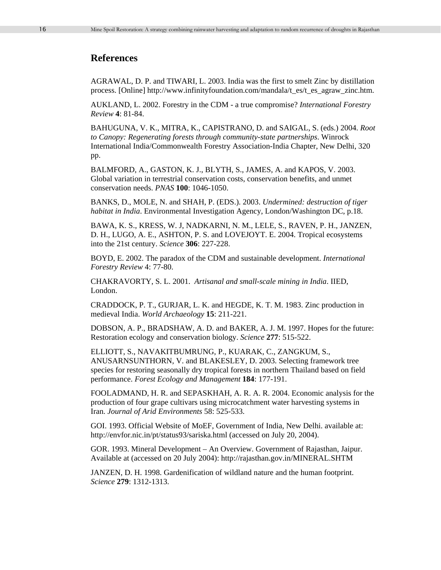#### **References**

AGRAWAL, D. P. and TIWARI, L. 2003. India was the first to smelt Zinc by distillation process. [Online] http://www.infinityfoundation.com/mandala/t\_es/t\_es\_agraw\_zinc.htm.

AUKLAND, L. 2002. Forestry in the CDM - a true compromise? *International Forestry Review* **4**: 81-84.

BAHUGUNA, V. K., MITRA, K., CAPISTRANO, D. and SAIGAL, S. (eds.) 2004. *Root to Canopy: Regenerating forests through community-state partnerships*. Winrock International India/Commonwealth Forestry Association-India Chapter, New Delhi, 320 pp.

BALMFORD, A., GASTON, K. J., BLYTH, S., JAMES, A. and KAPOS, V. 2003. Global variation in terrestrial conservation costs, conservation benefits, and unmet conservation needs. *PNAS* **100**: 1046-1050.

BANKS, D., MOLE, N. and SHAH, P. (EDS.). 2003. *Undermined: destruction of tiger habitat in India*. Environmental Investigation Agency, London/Washington DC, p.18.

BAWA, K. S., KRESS, W. J, NADKARNI, N. M., LELE, S., RAVEN, P. H., JANZEN, D. H., LUGO, A. E., ASHTON, P. S. and LOVEJOYT. E. 2004. Tropical ecosystems into the 21st century. *Science* **306**: 227-228.

BOYD, E. 2002. The paradox of the CDM and sustainable development. *International Forestry Review* 4: 77-80.

CHAKRAVORTY, S. L. 2001. *Artisanal and small-scale mining in India*. IIED, London.

CRADDOCK, P. T., GURJAR, L. K. and HEGDE, K. T. M. 1983. Zinc production in medieval India. *World Archaeology* **15**: 211-221.

DOBSON, A. P., BRADSHAW, A. D. and BAKER, A. J. M. 1997. Hopes for the future: Restoration ecology and conservation biology. *Science* **277**: 515-522.

ELLIOTT, S., NAVAKITBUMRUNG, P., KUARAK, C., ZANGKUM, S., ANUSARNSUNTHORN, V. and BLAKESLEY, D. 2003. Selecting framework tree species for restoring seasonally dry tropical forests in northern Thailand based on field performance. *Forest Ecology and Management* **184**: 177-191.

FOOLADMAND, H. R. and SEPASKHAH, A. R. A. R. 2004. Economic analysis for the production of four grape cultivars using microcatchment water harvesting systems in Iran. *Journal of Arid Environments* 58: 525-533.

GOI. 1993. Official Website of MoEF, Government of India, New Delhi. available at: http://envfor.nic.in/pt/status93/sariska.html (accessed on July 20, 2004).

GOR. 1993. Mineral Development – An Overview. Government of Rajasthan, Jaipur. Available at (accessed on 20 July 2004): http://rajasthan.gov.in/MINERAL.SHTM

JANZEN, D. H. 1998. Gardenification of wildland nature and the human footprint. *Science* **279**: 1312-1313.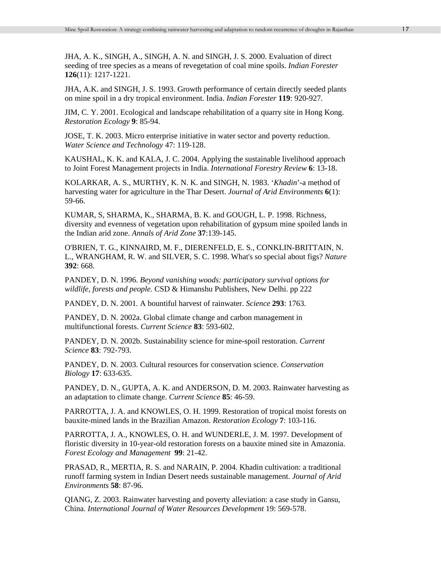JHA, A. K., SINGH, A., SINGH, A. N. and SINGH, J. S. 2000. Evaluation of direct seeding of tree species as a means of revegetation of coal mine spoils. *Indian Forester* **126**(11): 1217-1221.

JHA, A.K. and SINGH, J. S. 1993. Growth performance of certain directly seeded plants on mine spoil in a dry tropical environment. India. *Indian Forester* **119**: 920-927.

JIM, C. Y. 2001. Ecological and landscape rehabilitation of a quarry site in Hong Kong. *Restoration Ecology* **9**: 85-94.

JOSE, T. K. 2003. Micro enterprise initiative in water sector and poverty reduction. *Water Science and Technology* 47: 119-128.

KAUSHAL, K. K. and KALA, J. C. 2004. Applying the sustainable livelihood approach to Joint Forest Management projects in India. *International Forestry Review* **6**: 13-18.

KOLARKAR, A. S., MURTHY, K. N. K. and SINGH, N. 1983. '*Khadin*'-a method of harvesting water for agriculture in the Thar Desert. *Journal of Arid Environments* **6**(1): 59-66.

KUMAR, S, SHARMA, K., SHARMA, B. K. and GOUGH, L. P. 1998. Richness, diversity and evenness of vegetation upon rehabilitation of gypsum mine spoiled lands in the Indian arid zone. *Annals of Arid Zone* **37**:139-145.

O'BRIEN, T. G., KINNAIRD, M. F., DIERENFELD, E. S., CONKLIN-BRITTAIN, N. L., WRANGHAM, R. W. and SILVER, S. C. 1998. What's so special about figs? *Nature* **392**: 668.

PANDEY, D. N. 1996. *Beyond vanishing woods: participatory survival options for wildlife, forests and people.* CSD & Himanshu Publishers, New Delhi. pp 222

PANDEY, D. N. 2001. A bountiful harvest of rainwater. *Science* **293**: 1763.

PANDEY, D. N. 2002a. Global climate change and carbon management in multifunctional forests. *Current Science* **83**: 593-602.

PANDEY, D. N. 2002b. Sustainability science for mine-spoil restoration. *Current Science* **83**: 792-793.

PANDEY, D. N. 2003. Cultural resources for conservation science. *Conservation Biology* **17**: 633-635.

PANDEY, D. N., GUPTA, A. K. and ANDERSON, D. M. 2003. Rainwater harvesting as an adaptation to climate change. *Current Science* **85**: 46-59.

PARROTTA, J. A. and KNOWLES, O. H. 1999. Restoration of tropical moist forests on bauxite-mined lands in the Brazilian Amazon. *Restoration Ecology* **7**: 103-116.

PARROTTA, J. A., KNOWLES, O. H. and WUNDERLE, J. M. 1997. Development of floristic diversity in 10-year-old restoration forests on a bauxite mined site in Amazonia. *Forest Ecology and Management* **99**: 21-42.

PRASAD, R., MERTIA, R. S. and NARAIN, P. 2004. Khadin cultivation: a traditional runoff farming system in Indian Desert needs sustainable management. *Journal of Arid Environments* **58**: 87-96.

QIANG, Z. 2003. Rainwater harvesting and poverty alleviation: a case study in Gansu, China. *International Journal of Water Resources Development* 19: 569-578.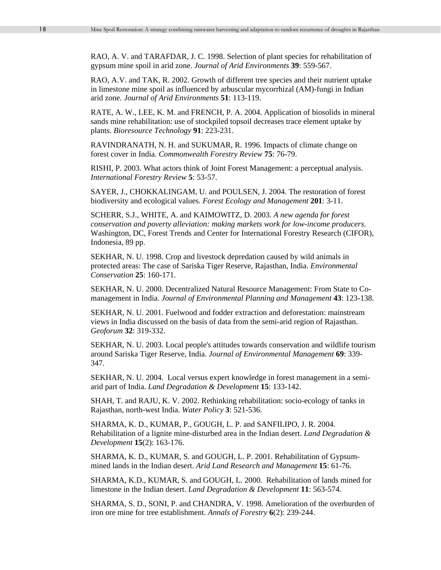RAO, A. V. and TARAFDAR, J. C. 1998. Selection of plant species for rehabilitation of gypsum mine spoil in arid zone. *Journal of Arid Environments* **39**: 559-567.

RAO, A.V. and TAK, R. 2002. Growth of different tree species and their nutrient uptake in limestone mine spoil as influenced by arbuscular mycorrhizal (AM)-fungi in Indian arid zone*. Journal of Arid Environments* **51**: 113-119.

RATE, A. W., LEE, K. M. and FRENCH, P. A. 2004. Application of biosolids in mineral sands mine rehabilitation: use of stockpiled topsoil decreases trace element uptake by plants. *Bioresource Technology* **91**: 223-231.

RAVINDRANATH, N. H. and SUKUMAR, R. 1996. Impacts of climate change on forest cover in India. *Commonwealth Forestry Review* **75**: 76-79.

RISHI, P. 2003. What actors think of Joint Forest Management: a perceptual analysis. *International Forestry Review* **5**: 53-57.

SAYER, J., CHOKKALINGAM, U. and POULSEN, J. 2004. The restoration of forest biodiversity and ecological values. *Forest Ecology and Management* **201**: 3-11.

SCHERR, S.J., WHITE, A. and KAIMOWITZ, D. 2003. *A new agenda for forest conservation and poverty alleviation: making markets work for low-income producers*. Washington, DC, Forest Trends and Center for International Forestry Research (CIFOR), Indonesia, 89 pp.

SEKHAR, N. U. 1998. Crop and livestock depredation caused by wild animals in protected areas: The case of Sariska Tiger Reserve, Rajasthan, India. *Environmental Conservation* **25**: 160-171.

SEKHAR, N. U. 2000. Decentralized Natural Resource Management: From State to Comanagement in India. *Journal of Environmental Planning and Management* **43**: 123-138.

SEKHAR, N. U. 2001. Fuelwood and fodder extraction and deforestation: mainstream views in India discussed on the basis of data from the semi-arid region of Rajasthan. *Geoforum* **32**: 319-332.

SEKHAR, N. U. 2003. Local people's attitudes towards conservation and wildlife tourism around Sariska Tiger Reserve, India. *Journal of Environmental Management* **69**: 339- 347.

SEKHAR, N. U. 2004. Local versus expert knowledge in forest management in a semiarid part of India. *Land Degradation & Development* **15**: 133-142.

SHAH, T. and RAJU, K. V. 2002. Rethinking rehabilitation: socio-ecology of tanks in Rajasthan, north-west India. *Water Policy* **3**: 521-536.

SHARMA, K. D., KUMAR, P., GOUGH, L. P. and SANFILIPO, J. R. 2004. Rehabilitation of a lignite mine-disturbed area in the Indian desert. *Land Degradation & Development* **15**(2): 163-176.

SHARMA, K. D., KUMAR, S. and GOUGH, L. P. 2001. Rehabilitation of Gypsummined lands in the Indian desert. *Arid Land Research and Management* **15**: 61-76.

SHARMA, K.D., KUMAR, S. and GOUGH, L. 2000. Rehabilitation of lands mined for limestone in the Indian desert. *Land Degradation & Development* **11**: 563-574.

SHARMA, S. D., SONI, P. and CHANDRA, V. 1998. Amelioration of the overburden of iron ore mine for tree establishment. *Annals of Forestry* **6**(2): 239-244.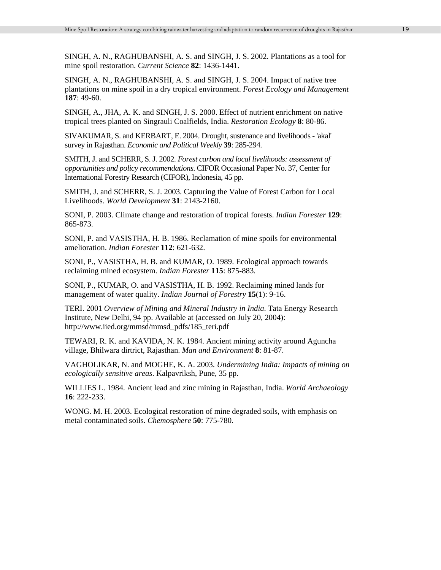SINGH, A. N., RAGHUBANSHI, A. S. and SINGH, J. S. 2002. Plantations as a tool for mine spoil restoration. *Current Science* **82**: 1436-1441.

SINGH, A. N., RAGHUBANSHI, A. S. and SINGH, J. S. 2004. Impact of native tree plantations on mine spoil in a dry tropical environment. *Forest Ecology and Management* **187**: 49-60.

SINGH, A., JHA, A. K. and SINGH, J. S. 2000. Effect of nutrient enrichment on native tropical trees planted on Singrauli Coalfields, India. *Restoration Ecology* **8**: 80-86.

SIVAKUMAR, S. and KERBART, E. 2004. Drought, sustenance and livelihoods - 'akal' survey in Rajasthan. *Economic and Political Weekly* **39**: 285-294.

SMITH, J. and SCHERR, S. J. 2002. *Forest carbon and local livelihoods: assessment of opportunities and policy recommendations*. CIFOR Occasional Paper No. 37, Center for International Forestry Research (CIFOR), Indonesia, 45 pp.

SMITH, J. and SCHERR, S. J. 2003. Capturing the Value of Forest Carbon for Local Livelihoods. *World Development* **31**: 2143-2160.

SONI, P. 2003. Climate change and restoration of tropical forests. *Indian Forester* **129**: 865-873.

SONI, P. and VASISTHA, H. B. 1986. Reclamation of mine spoils for environmental amelioration. *Indian Forester* **112**: 621-632.

SONI, P., VASISTHA, H. B. and KUMAR, O. 1989. Ecological approach towards reclaiming mined ecosystem. *Indian Forester* **115**: 875-883.

SONI, P., KUMAR, O. and VASISTHA, H. B. 1992. Reclaiming mined lands for management of water quality. *Indian Journal of Forestry* **15**(1): 9-16.

TERI. 2001 *Overview of Mining and Mineral Industry in India*. Tata Energy Research Institute, New Delhi, 94 pp. Available at (accessed on July 20, 2004): http://www.iied.org/mmsd/mmsd\_pdfs/185\_teri.pdf

TEWARI, R. K. and KAVIDA, N. K. 1984. Ancient mining activity around Aguncha village, Bhilwara dirtrict, Rajasthan. *Man and Environment* **8**: 81-87.

VAGHOLIKAR, N. and MOGHE, K. A. 2003. *Undermining India: Impacts of mining on ecologically sensitive areas*. Kalpavriksh, Pune, 35 pp.

WILLIES L. 1984. Ancient lead and zinc mining in Rajasthan, India. *World Archaeology* **16**: 222-233.

WONG. M. H. 2003. Ecological restoration of mine degraded soils, with emphasis on metal contaminated soils. *Chemosphere* **50**: 775-780.